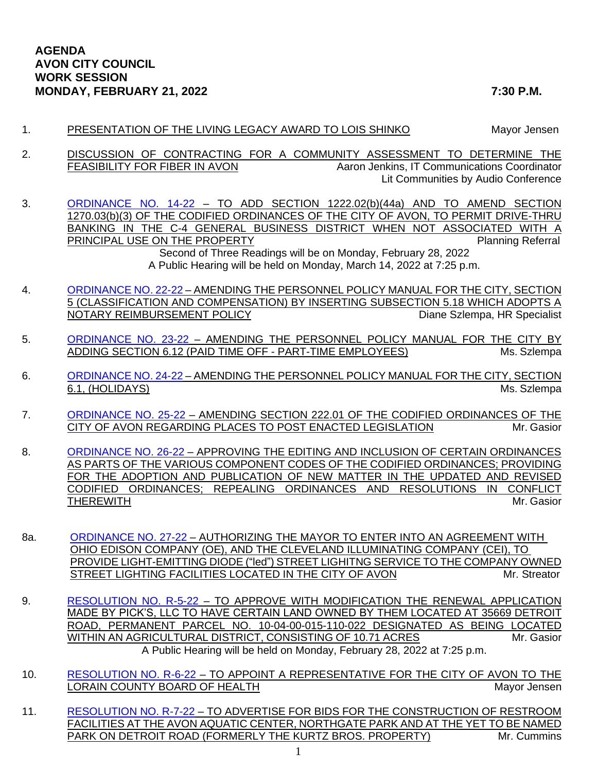- 1. PRESENTATION OF THE LIVING LEGACY AWARD TO LOIS SHINKO Mayor Jensen
- 2. DISCUSSION OF CONTRACTING FOR A COMMUNITY ASSESSMENT TO DETERMINE THE FEASIBILITY FOR FIBER IN AVON And Aaron Jenkins, IT Communications Coordinator Lit Communities by Audio Conference
- 3. [ORDINANCE NO. 14-22](https://www.cityofavon.com/DocumentCenter/View/7612/Ordinance-No-14-22-Drive-thru-Teller-Legislation) TO ADD SECTION 1222.02(b)(44a) AND TO AMEND SECTION 1270.03(b)(3) OF THE CODIFIED ORDINANCES OF THE CITY OF AVON, TO PERMIT DRIVE-THRU BANKING IN THE C-4 GENERAL BUSINESS DISTRICT WHEN NOT ASSOCIATED WITH A PRINCIPAL USE ON THE PROPERTY **PRINCIPAL USE ON THE PROPERTY** Second of Three Readings will be on Monday, February 28, 2022

A Public Hearing will be held on Monday, March 14, 2022 at 7:25 p.m.

- 4. [ORDINANCE NO. 22-22](https://www.cityofavon.com/DocumentCenter/View/7629/Ordinance-No-22-22-Amend-Personnel-Pol-Man-518-Notary-Public) AMENDING THE PERSONNEL POLICY MANUAL FOR THE CITY, SECTION 5 (CLASSIFICATION AND COMPENSATION) BY INSERTING SUBSECTION 5.18 WHICH ADOPTS A NOTARY REIMBURSEMENT POLICY **Example 2** Diane Szlempa, HR Specialist
- 5. [ORDINANCE NO. 23-22](https://www.cityofavon.com/DocumentCenter/View/7630/Ordinance-No-23-22-Amend-Personnel-Pol-Man-612-PT-Time-Off) AMENDING THE PERSONNEL POLICY MANUAL FOR THE CITY BY ADDING SECTION 6.12 (PAID TIME OFF - PART-TIME EMPLOYEES) Ms. Szlempa
- 6. [ORDINANCE NO. 24-22](https://www.cityofavon.com/DocumentCenter/View/7631/Ordinance-No-24-22---Amend-Personnel-Pol-Man-61-Holidays) AMENDING THE PERSONNEL POLICY MANUAL FOR THE CITY, SECTION 6.1, (HOLIDAYS) Ms. Szlempa (1999) Ms. Szlempa (1999) Ms. Szlempa (1999) Ms. Szlempa (1999) Ms. Szlempa (1999)
- 7. [ORDINANCE NO. 25-22](https://www.cityofavon.com/DocumentCenter/View/7632/Ordinance-No-25-22-Posting-Places) AMENDING SECTION 222.01 OF THE CODIFIED ORDINANCES OF THE CITY OF AVON REGARDING PLACES TO POST ENACTED LEGISLATION Mr. Gasior
- 8. [ORDINANCE NO. 26-22](https://www.cityofavon.com/DocumentCenter/View/7633/Ordinance-No-26-22-Adopt-Cod-Ord_) APPROVING THE EDITING AND INCLUSION OF CERTAIN ORDINANCES AS PARTS OF THE VARIOUS COMPONENT CODES OF THE CODIFIED ORDINANCES; PROVIDING FOR THE ADOPTION AND PUBLICATION OF NEW MATTER IN THE UPDATED AND REVISED CODIFIED ORDINANCES; REPEALING ORDINANCES AND RESOLUTIONS IN CONFLICT THEREWITH Mr. Gasior
- 8a. [ORDINANCE NO. 27-22](https://www.cityofavon.com/DocumentCenter/View/7639/Ordinance-No-27-22-CEI---LED-Street-Light-Ord_) AUTHORIZING THE MAYOR TO ENTER INTO AN AGREEMENT WITH OHIO EDISON COMPANY (OE), AND THE CLEVELAND ILLUMINATING COMPANY (CEI), TO PROVIDE LIGHT-EMITTING DIODE ("led") STREET LIGHITNG SERVICE TO THE COMPANY OWNED STREET LIGHTING FACILITIES LOCATED IN THE CITY OF AVON MILL Streator
- 9. [RESOLUTION NO. R-5-22](https://www.cityofavon.com/DocumentCenter/View/7635/Resolution-No-R-5-22---Picks-LLC---Agr-Dist) TO APPROVE WITH MODIFICATION THE RENEWAL APPLICATION MADE BY PICK'S, LLC TO HAVE CERTAIN LAND OWNED BY THEM LOCATED AT 35669 DETROIT ROAD, PERMANENT PARCEL NO. 10-04-00-015-110-022 DESIGNATED AS BEING LOCATED WITHIN AN AGRICULTURAL DISTRICT, CONSISTING OF 10.71 ACRES MITHING AND Mr. Gasior A Public Hearing will be held on Monday, February 28, 2022 at 7:25 p.m.
- 10. [RESOLUTION NO. R-6-22](https://www.cityofavon.com/DocumentCenter/View/7636/Resolution-No-R-6-22-Lor-Cty-Bd-of-Health-Rep) TO APPOINT A REPRESENTATIVE FOR THE CITY OF AVON TO THE LORAIN COUNTY BOARD OF HEALTH Mayor Jensen Mayor Jensen
- 11. [RESOLUTION NO. R-7-22](https://www.cityofavon.com/DocumentCenter/View/7637/Resolution-No-R-7-22---Ad-for-Bids---Park-Restrooms) TO ADVERTISE FOR BIDS FOR THE CONSTRUCTION OF RESTROOM FACILITIES AT THE AVON AQUATIC CENTER, NORTHGATE PARK AND AT THE YET TO BE NAMED PARK ON DETROIT ROAD (FORMERLY THE KURTZ BROS. PROPERTY) Mr. Cummins